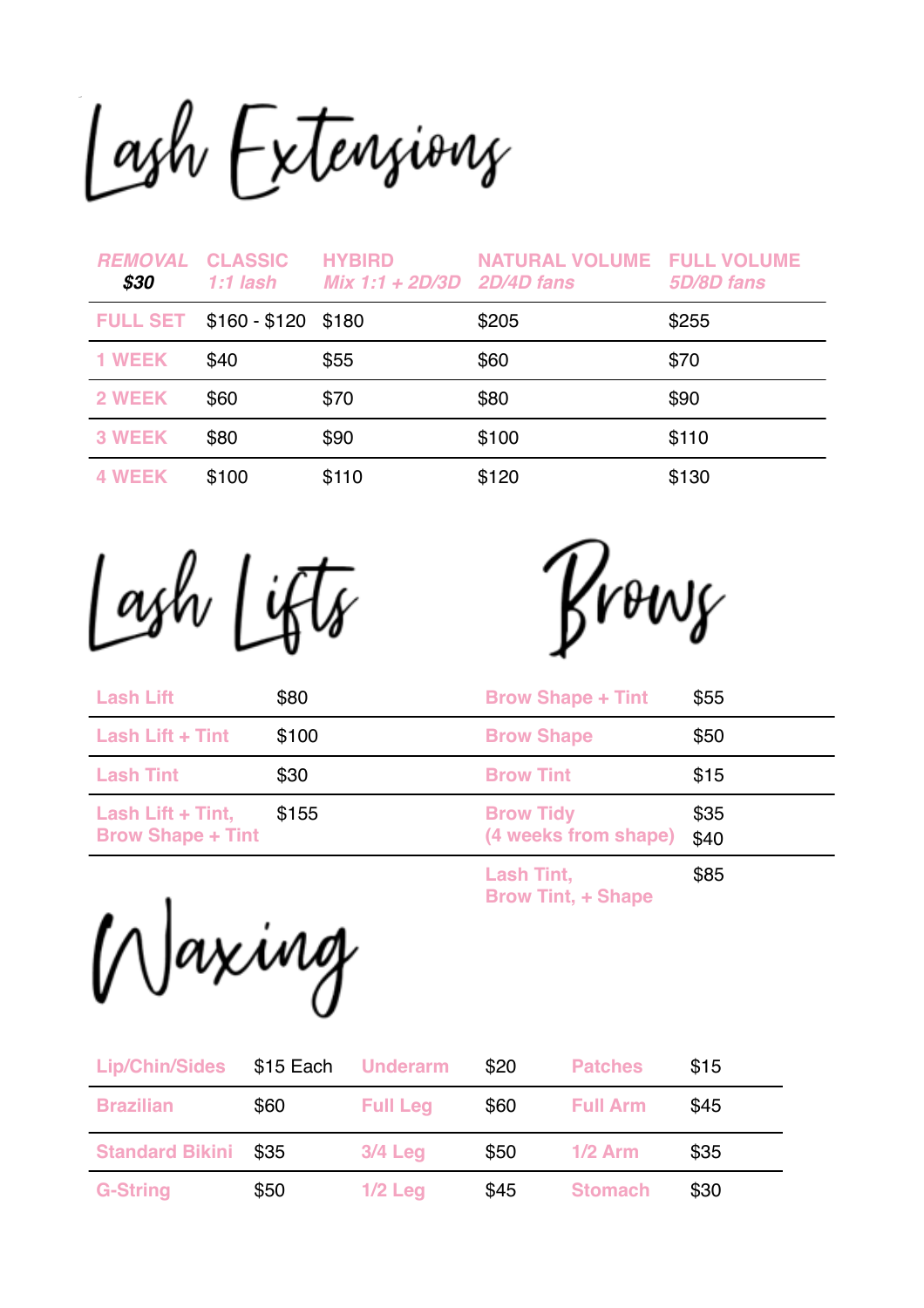Lash Extensions

| <b>REMOVAL</b><br>\$30 | <b>CLASSIC</b><br>1:1 lash | <b>HYBIRD</b><br>$Mix 1:1 + 2D/3D$ 2D/4D fans | <b>NATURAL VOLUME FULL VOLUME</b> | 5D/8D fans |
|------------------------|----------------------------|-----------------------------------------------|-----------------------------------|------------|
| <b>FULL SET</b>        | $$160 - $120$ \$180        |                                               | \$205                             | \$255      |
| <b>1 WEEK</b>          | \$40                       | \$55                                          | \$60                              | \$70       |
| 2 WEEK                 | \$60                       | \$70                                          | \$80                              | \$90       |
| <b>3 WEEK</b>          | \$80                       | \$90                                          | \$100                             | \$110      |
| <b>WEEK</b>            | \$100                      | \$110                                         | \$120                             | \$130      |

Lash Lifts

Krows

| <b>Lash Lift</b>                              | \$80  | <b>Brow Shape + Tint</b>                 | \$55         |
|-----------------------------------------------|-------|------------------------------------------|--------------|
| Lash Lift + Tint                              | \$100 | <b>Brow Shape</b>                        | \$50         |
| <b>Lash Tint</b>                              | \$30  | <b>Brow Tint</b>                         | \$15         |
| Lash Lift + Tint,<br><b>Brow Shape + Tint</b> | \$155 | <b>Brow Tidy</b><br>(4 weeks from shape) | \$35<br>\$40 |
|                                               |       | <b>Lash Tint,</b><br>________            | \$85         |

**Brow Tint, + Shape** 

Waxing

| <b>Lip/Chin/Sides</b>  | $$15$ Each | <b>Underarm</b> | \$20 | <b>Patches</b>  | \$15 |
|------------------------|------------|-----------------|------|-----------------|------|
| <b>Brazilian</b>       | \$60       | <b>Full Leg</b> | \$60 | <b>Full Arm</b> | \$45 |
| <b>Standard Bikini</b> | \$35       | $3/4$ Leg       | \$50 | $1/2$ Arm       | \$35 |
| <b>G-String</b>        | \$50       | $1/2$ Leg       | \$45 | <b>Stomach</b>  | \$30 |